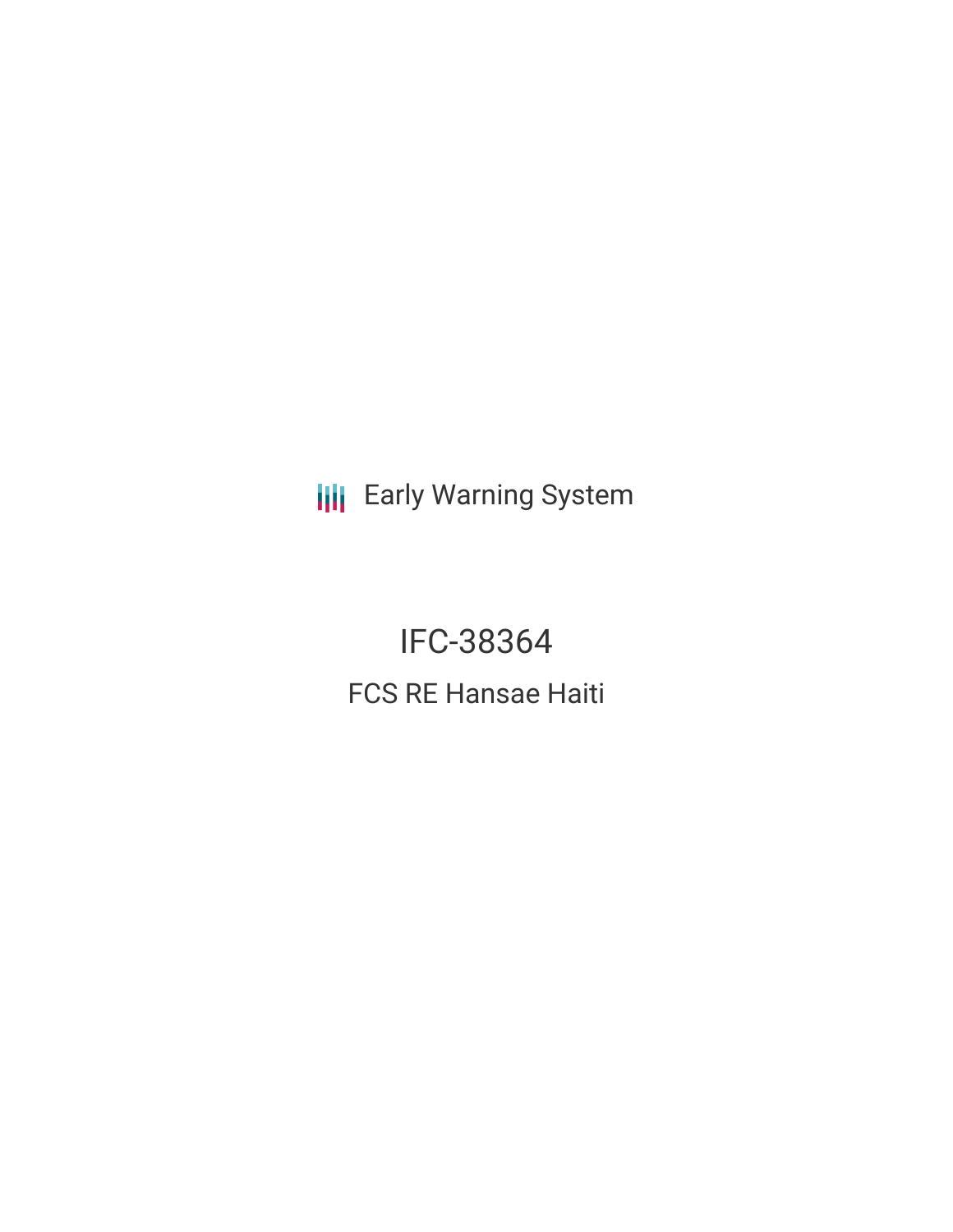**III** Early Warning System

**IFC-38364 FCS RE Hansae Haiti**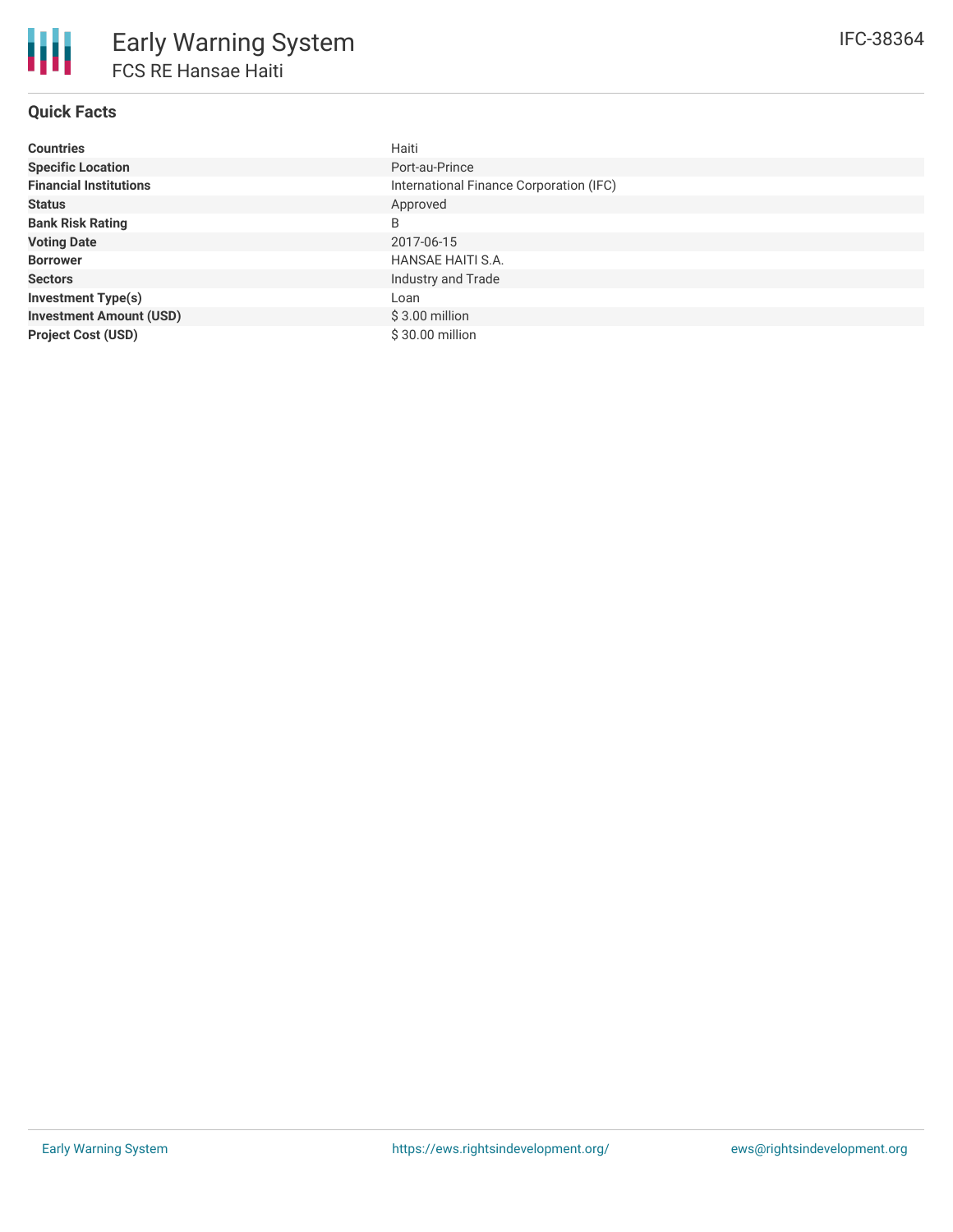# **Quick Facts**

| <b>Countries</b>               | Haiti                                   |
|--------------------------------|-----------------------------------------|
| <b>Specific Location</b>       | Port-au-Prince                          |
| <b>Financial Institutions</b>  | International Finance Corporation (IFC) |
| <b>Status</b>                  | Approved                                |
| <b>Bank Risk Rating</b>        | B                                       |
| <b>Voting Date</b>             | 2017-06-15                              |
| <b>Borrower</b>                | HANSAE HAITI S.A.                       |
| <b>Sectors</b>                 | Industry and Trade                      |
| <b>Investment Type(s)</b>      | Loan                                    |
| <b>Investment Amount (USD)</b> | $$3.00$ million                         |
| <b>Project Cost (USD)</b>      | $$30.00$ million                        |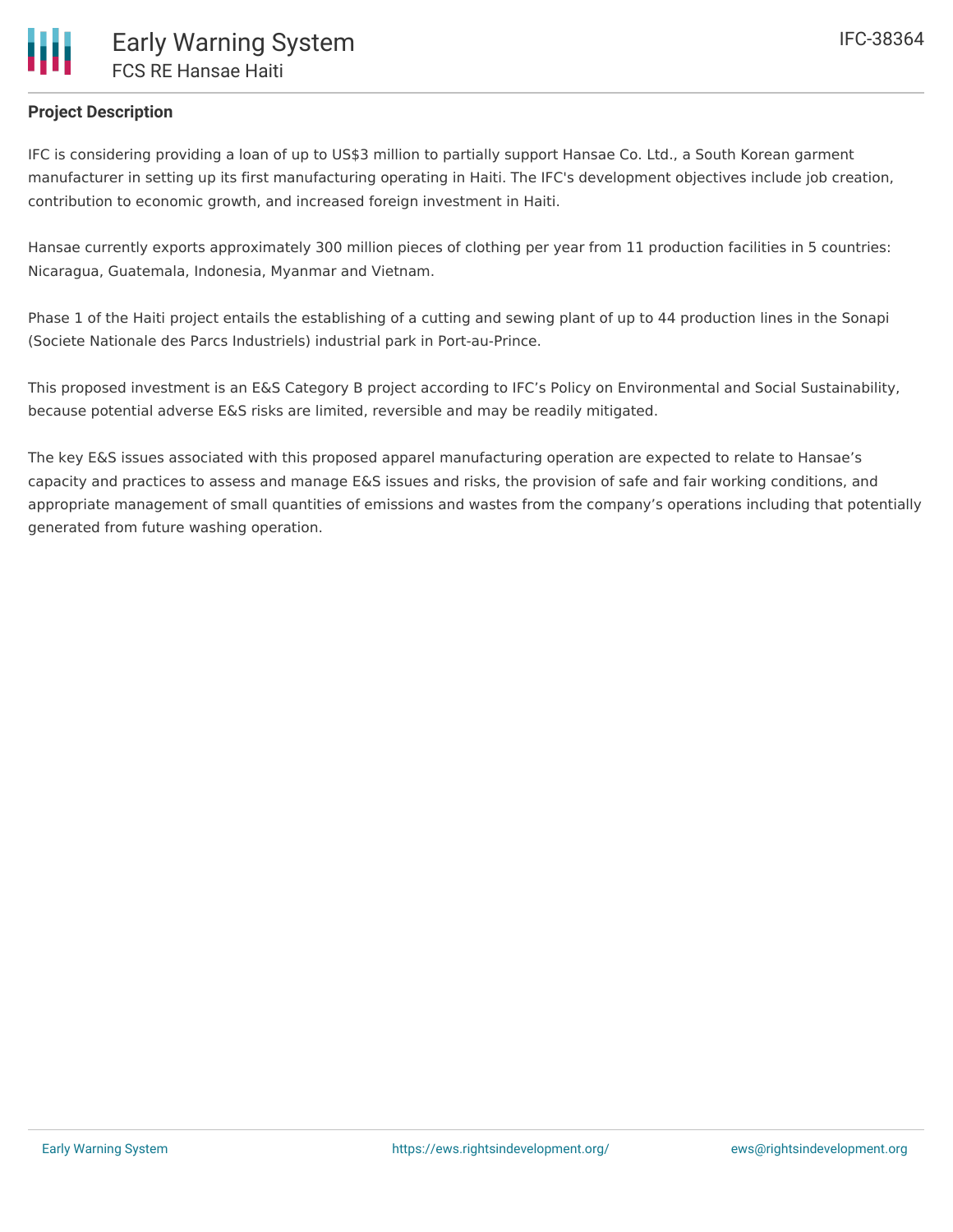## **Project Description**

IFC is considering providing a loan of up to US\$3 million to partially support Hansae Co. Ltd., a South Korean garment manufacturer in setting up its first manufacturing operating in Haiti. The IFC's development objectives include job creation, contribution to economic growth, and increased foreign investment in Haiti.

Hansae currently exports approximately 300 million pieces of clothing per year from 11 production facilities in 5 countries: Nicaragua, Guatemala, Indonesia, Myanmar and Vietnam.

Phase 1 of the Haiti project entails the establishing of a cutting and sewing plant of up to 44 production lines in the Sonapi (Societe Nationale des Parcs Industriels) industrial park in Port-au-Prince.

This proposed investment is an E&S Category B project according to IFC's Policy on Environmental and Social Sustainability, because potential adverse E&S risks are limited, reversible and may be readily mitigated.

The key E&S issues associated with this proposed apparel manufacturing operation are expected to relate to Hansae's capacity and practices to assess and manage E&S issues and risks, the provision of safe and fair working conditions, and appropriate management of small quantities of emissions and wastes from the company's operations including that potentially generated from future washing operation.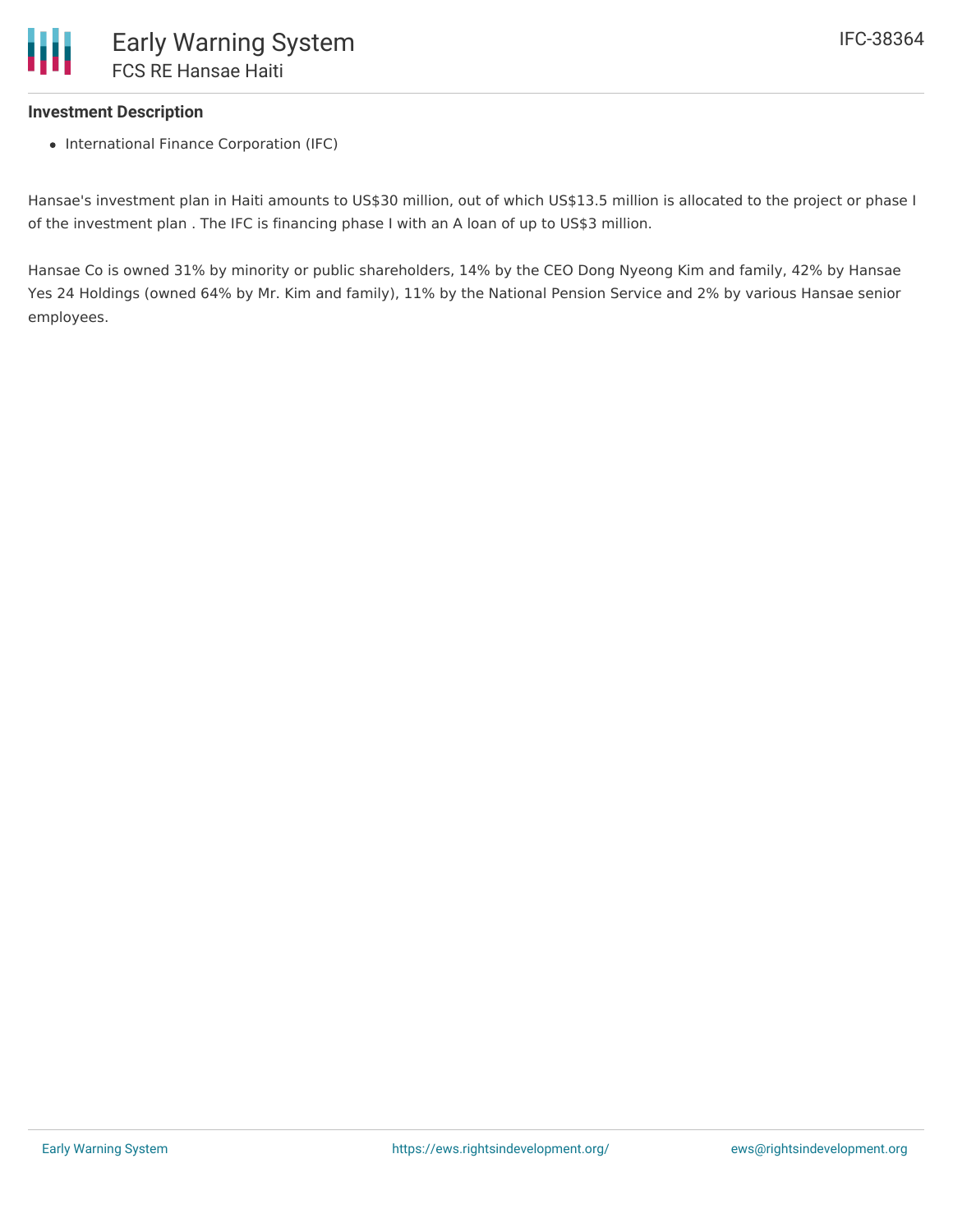### **Investment Description**

• International Finance Corporation (IFC)

Hansae's investment plan in Haiti amounts to US\$30 million, out of which US\$13.5 million is allocated to the project or phase I of the investment plan . The IFC is financing phase I with an A loan of up to US\$3 million.

Hansae Co is owned 31% by minority or public shareholders, 14% by the CEO Dong Nyeong Kim and family, 42% by Hansae Yes 24 Holdings (owned 64% by Mr. Kim and family), 11% by the National Pension Service and 2% by various Hansae senior employees.